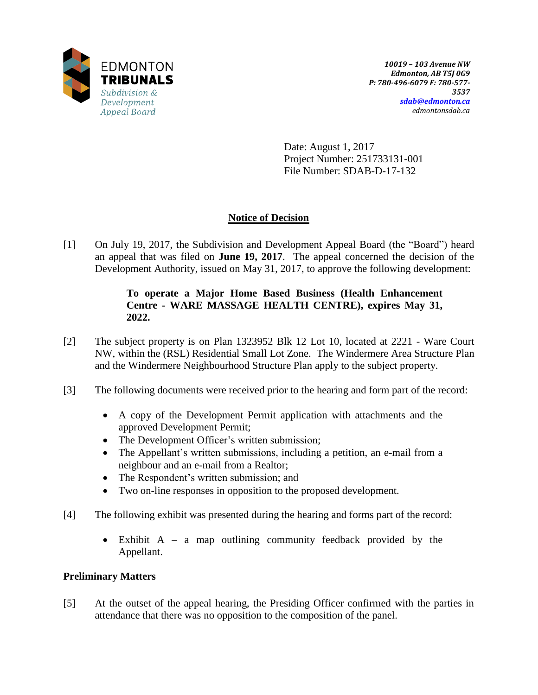

Date: August 1, 2017 Project Number: 251733131-001 File Number: SDAB-D-17-132

# **Notice of Decision**

[1] On July 19, 2017, the Subdivision and Development Appeal Board (the "Board") heard an appeal that was filed on **June 19, 2017**. The appeal concerned the decision of the Development Authority, issued on May 31, 2017, to approve the following development:

## **To operate a Major Home Based Business (Health Enhancement Centre - WARE MASSAGE HEALTH CENTRE), expires May 31, 2022.**

- [2] The subject property is on Plan 1323952 Blk 12 Lot 10, located at 2221 Ware Court NW, within the (RSL) Residential Small Lot Zone. The Windermere Area Structure Plan and the Windermere Neighbourhood Structure Plan apply to the subject property.
- [3] The following documents were received prior to the hearing and form part of the record:
	- A copy of the Development Permit application with attachments and the approved Development Permit;
	- The Development Officer's written submission;
	- The Appellant's written submissions, including a petition, an e-mail from a neighbour and an e-mail from a Realtor;
	- The Respondent's written submission; and
	- Two on-line responses in opposition to the proposed development.
- [4] The following exhibit was presented during the hearing and forms part of the record:
	- Exhibit A a map outlining community feedback provided by the Appellant.

## **Preliminary Matters**

[5] At the outset of the appeal hearing, the Presiding Officer confirmed with the parties in attendance that there was no opposition to the composition of the panel.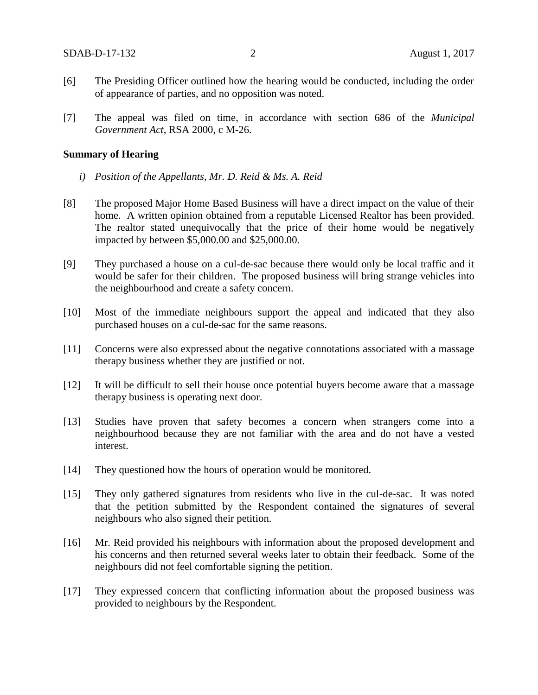- [6] The Presiding Officer outlined how the hearing would be conducted, including the order of appearance of parties, and no opposition was noted.
- [7] The appeal was filed on time, in accordance with section 686 of the *Municipal Government Act*, RSA 2000, c M-26.

#### **Summary of Hearing**

- *i) Position of the Appellants, Mr. D. Reid & Ms. A. Reid*
- [8] The proposed Major Home Based Business will have a direct impact on the value of their home. A written opinion obtained from a reputable Licensed Realtor has been provided. The realtor stated unequivocally that the price of their home would be negatively impacted by between \$5,000.00 and \$25,000.00.
- [9] They purchased a house on a cul-de-sac because there would only be local traffic and it would be safer for their children. The proposed business will bring strange vehicles into the neighbourhood and create a safety concern.
- [10] Most of the immediate neighbours support the appeal and indicated that they also purchased houses on a cul-de-sac for the same reasons.
- [11] Concerns were also expressed about the negative connotations associated with a massage therapy business whether they are justified or not.
- [12] It will be difficult to sell their house once potential buyers become aware that a massage therapy business is operating next door.
- [13] Studies have proven that safety becomes a concern when strangers come into a neighbourhood because they are not familiar with the area and do not have a vested interest.
- [14] They questioned how the hours of operation would be monitored.
- [15] They only gathered signatures from residents who live in the cul-de-sac. It was noted that the petition submitted by the Respondent contained the signatures of several neighbours who also signed their petition.
- [16] Mr. Reid provided his neighbours with information about the proposed development and his concerns and then returned several weeks later to obtain their feedback. Some of the neighbours did not feel comfortable signing the petition.
- [17] They expressed concern that conflicting information about the proposed business was provided to neighbours by the Respondent.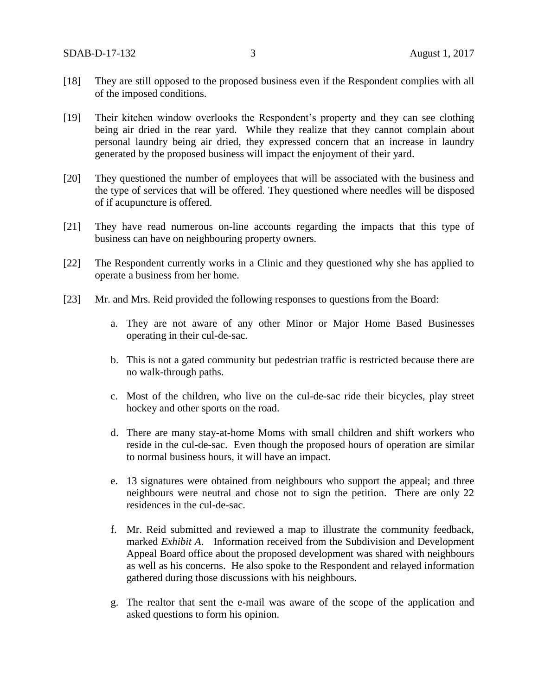- [18] They are still opposed to the proposed business even if the Respondent complies with all of the imposed conditions.
- [19] Their kitchen window overlooks the Respondent's property and they can see clothing being air dried in the rear yard. While they realize that they cannot complain about personal laundry being air dried, they expressed concern that an increase in laundry generated by the proposed business will impact the enjoyment of their yard.
- [20] They questioned the number of employees that will be associated with the business and the type of services that will be offered. They questioned where needles will be disposed of if acupuncture is offered.
- [21] They have read numerous on-line accounts regarding the impacts that this type of business can have on neighbouring property owners.
- [22] The Respondent currently works in a Clinic and they questioned why she has applied to operate a business from her home.
- [23] Mr. and Mrs. Reid provided the following responses to questions from the Board:
	- a. They are not aware of any other Minor or Major Home Based Businesses operating in their cul-de-sac.
	- b. This is not a gated community but pedestrian traffic is restricted because there are no walk-through paths.
	- c. Most of the children, who live on the cul-de-sac ride their bicycles, play street hockey and other sports on the road.
	- d. There are many stay-at-home Moms with small children and shift workers who reside in the cul-de-sac. Even though the proposed hours of operation are similar to normal business hours, it will have an impact.
	- e. 13 signatures were obtained from neighbours who support the appeal; and three neighbours were neutral and chose not to sign the petition. There are only 22 residences in the cul-de-sac.
	- f. Mr. Reid submitted and reviewed a map to illustrate the community feedback, marked *Exhibit A*. Information received from the Subdivision and Development Appeal Board office about the proposed development was shared with neighbours as well as his concerns. He also spoke to the Respondent and relayed information gathered during those discussions with his neighbours.
	- g. The realtor that sent the e-mail was aware of the scope of the application and asked questions to form his opinion.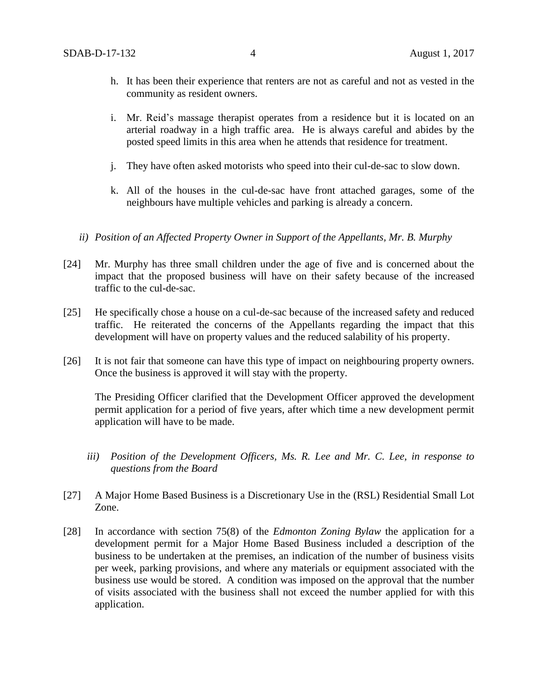- h. It has been their experience that renters are not as careful and not as vested in the community as resident owners.
- i. Mr. Reid's massage therapist operates from a residence but it is located on an arterial roadway in a high traffic area. He is always careful and abides by the posted speed limits in this area when he attends that residence for treatment.
- j. They have often asked motorists who speed into their cul-de-sac to slow down.
- k. All of the houses in the cul-de-sac have front attached garages, some of the neighbours have multiple vehicles and parking is already a concern.
- *ii) Position of an Affected Property Owner in Support of the Appellants, Mr. B. Murphy*
- [24] Mr. Murphy has three small children under the age of five and is concerned about the impact that the proposed business will have on their safety because of the increased traffic to the cul-de-sac.
- [25] He specifically chose a house on a cul-de-sac because of the increased safety and reduced traffic. He reiterated the concerns of the Appellants regarding the impact that this development will have on property values and the reduced salability of his property.
- [26] It is not fair that someone can have this type of impact on neighbouring property owners. Once the business is approved it will stay with the property.

The Presiding Officer clarified that the Development Officer approved the development permit application for a period of five years, after which time a new development permit application will have to be made.

- *iii) Position of the Development Officers, Ms. R. Lee and Mr. C. Lee, in response to questions from the Board*
- [27] A Major Home Based Business is a Discretionary Use in the (RSL) Residential Small Lot Zone.
- [28] In accordance with section 75(8) of the *Edmonton Zoning Bylaw* the application for a development permit for a Major Home Based Business included a description of the business to be undertaken at the premises, an indication of the number of business visits per week, parking provisions, and where any materials or equipment associated with the business use would be stored. A condition was imposed on the approval that the number of visits associated with the business shall not exceed the number applied for with this application.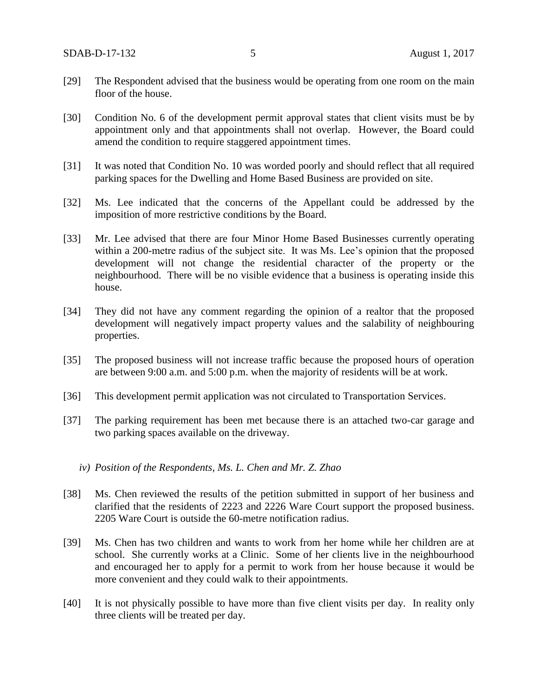- [29] The Respondent advised that the business would be operating from one room on the main floor of the house.
- [30] Condition No. 6 of the development permit approval states that client visits must be by appointment only and that appointments shall not overlap. However, the Board could amend the condition to require staggered appointment times.
- [31] It was noted that Condition No. 10 was worded poorly and should reflect that all required parking spaces for the Dwelling and Home Based Business are provided on site.
- [32] Ms. Lee indicated that the concerns of the Appellant could be addressed by the imposition of more restrictive conditions by the Board.
- [33] Mr. Lee advised that there are four Minor Home Based Businesses currently operating within a 200-metre radius of the subject site. It was Ms. Lee's opinion that the proposed development will not change the residential character of the property or the neighbourhood. There will be no visible evidence that a business is operating inside this house.
- [34] They did not have any comment regarding the opinion of a realtor that the proposed development will negatively impact property values and the salability of neighbouring properties.
- [35] The proposed business will not increase traffic because the proposed hours of operation are between 9:00 a.m. and 5:00 p.m. when the majority of residents will be at work.
- [36] This development permit application was not circulated to Transportation Services.
- [37] The parking requirement has been met because there is an attached two-car garage and two parking spaces available on the driveway.
	- *iv) Position of the Respondents, Ms. L. Chen and Mr. Z. Zhao*
- [38] Ms. Chen reviewed the results of the petition submitted in support of her business and clarified that the residents of 2223 and 2226 Ware Court support the proposed business. 2205 Ware Court is outside the 60-metre notification radius.
- [39] Ms. Chen has two children and wants to work from her home while her children are at school. She currently works at a Clinic. Some of her clients live in the neighbourhood and encouraged her to apply for a permit to work from her house because it would be more convenient and they could walk to their appointments.
- [40] It is not physically possible to have more than five client visits per day. In reality only three clients will be treated per day.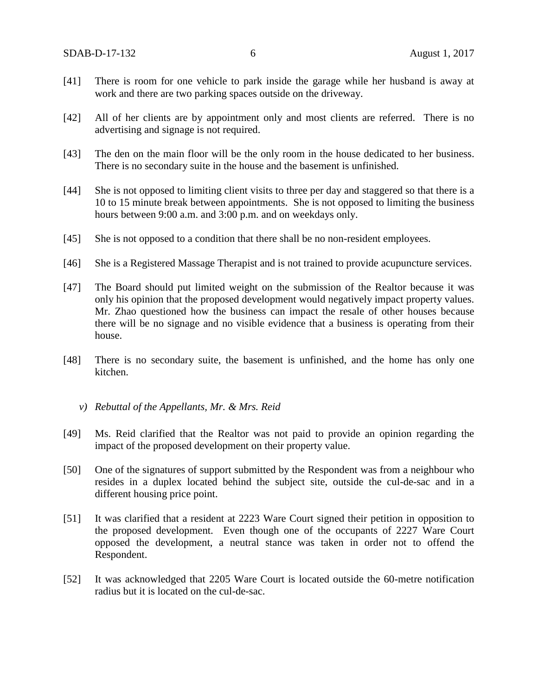- [41] There is room for one vehicle to park inside the garage while her husband is away at work and there are two parking spaces outside on the driveway.
- [42] All of her clients are by appointment only and most clients are referred. There is no advertising and signage is not required.
- [43] The den on the main floor will be the only room in the house dedicated to her business. There is no secondary suite in the house and the basement is unfinished.
- [44] She is not opposed to limiting client visits to three per day and staggered so that there is a 10 to 15 minute break between appointments. She is not opposed to limiting the business hours between 9:00 a.m. and 3:00 p.m. and on weekdays only.
- [45] She is not opposed to a condition that there shall be no non-resident employees.
- [46] She is a Registered Massage Therapist and is not trained to provide acupuncture services.
- [47] The Board should put limited weight on the submission of the Realtor because it was only his opinion that the proposed development would negatively impact property values. Mr. Zhao questioned how the business can impact the resale of other houses because there will be no signage and no visible evidence that a business is operating from their house.
- [48] There is no secondary suite, the basement is unfinished, and the home has only one kitchen.
	- *v) Rebuttal of the Appellants, Mr. & Mrs. Reid*
- [49] Ms. Reid clarified that the Realtor was not paid to provide an opinion regarding the impact of the proposed development on their property value.
- [50] One of the signatures of support submitted by the Respondent was from a neighbour who resides in a duplex located behind the subject site, outside the cul-de-sac and in a different housing price point.
- [51] It was clarified that a resident at 2223 Ware Court signed their petition in opposition to the proposed development. Even though one of the occupants of 2227 Ware Court opposed the development, a neutral stance was taken in order not to offend the Respondent.
- [52] It was acknowledged that 2205 Ware Court is located outside the 60-metre notification radius but it is located on the cul-de-sac.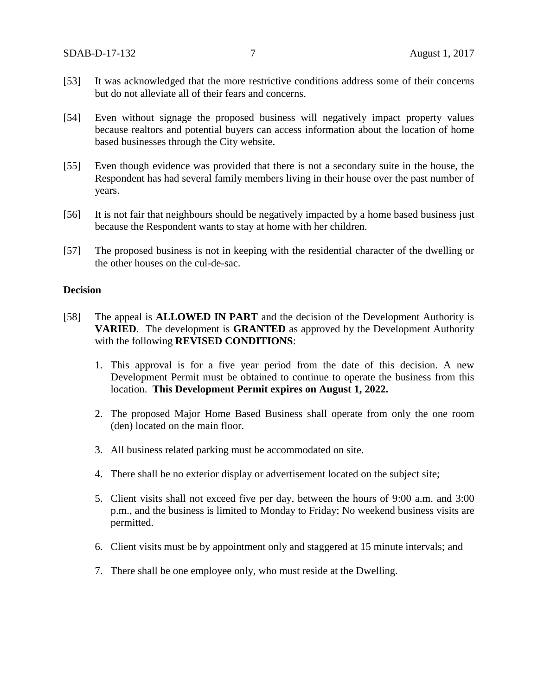- [53] It was acknowledged that the more restrictive conditions address some of their concerns but do not alleviate all of their fears and concerns.
- [54] Even without signage the proposed business will negatively impact property values because realtors and potential buyers can access information about the location of home based businesses through the City website.
- [55] Even though evidence was provided that there is not a secondary suite in the house, the Respondent has had several family members living in their house over the past number of years.
- [56] It is not fair that neighbours should be negatively impacted by a home based business just because the Respondent wants to stay at home with her children.
- [57] The proposed business is not in keeping with the residential character of the dwelling or the other houses on the cul-de-sac.

## **Decision**

- [58] The appeal is **ALLOWED IN PART** and the decision of the Development Authority is **VARIED**. The development is **GRANTED** as approved by the Development Authority with the following **REVISED CONDITIONS**:
	- 1. This approval is for a five year period from the date of this decision. A new Development Permit must be obtained to continue to operate the business from this location. **This Development Permit expires on August 1, 2022.**
	- 2. The proposed Major Home Based Business shall operate from only the one room (den) located on the main floor.
	- 3. All business related parking must be accommodated on site.
	- 4. There shall be no exterior display or advertisement located on the subject site;
	- 5. Client visits shall not exceed five per day, between the hours of 9:00 a.m. and 3:00 p.m., and the business is limited to Monday to Friday; No weekend business visits are permitted.
	- 6. Client visits must be by appointment only and staggered at 15 minute intervals; and
	- 7. There shall be one employee only, who must reside at the Dwelling.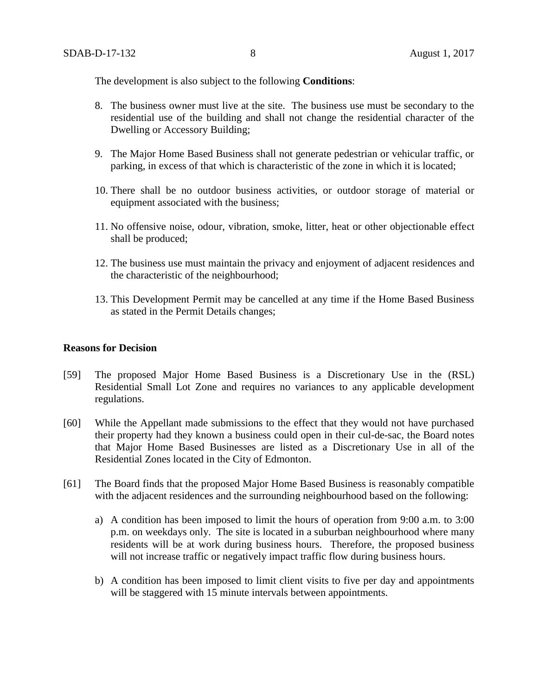The development is also subject to the following **Conditions**:

- 8. The business owner must live at the site. The business use must be secondary to the residential use of the building and shall not change the residential character of the Dwelling or Accessory Building;
- 9. The Major Home Based Business shall not generate pedestrian or vehicular traffic, or parking, in excess of that which is characteristic of the zone in which it is located;
- 10. There shall be no outdoor business activities, or outdoor storage of material or equipment associated with the business;
- 11. No offensive noise, odour, vibration, smoke, litter, heat or other objectionable effect shall be produced;
- 12. The business use must maintain the privacy and enjoyment of adjacent residences and the characteristic of the neighbourhood;
- 13. This Development Permit may be cancelled at any time if the Home Based Business as stated in the Permit Details changes;

### **Reasons for Decision**

- [59] The proposed Major Home Based Business is a Discretionary Use in the (RSL) Residential Small Lot Zone and requires no variances to any applicable development regulations.
- [60] While the Appellant made submissions to the effect that they would not have purchased their property had they known a business could open in their cul-de-sac, the Board notes that Major Home Based Businesses are listed as a Discretionary Use in all of the Residential Zones located in the City of Edmonton.
- [61] The Board finds that the proposed Major Home Based Business is reasonably compatible with the adjacent residences and the surrounding neighbourhood based on the following:
	- a) A condition has been imposed to limit the hours of operation from 9:00 a.m. to 3:00 p.m. on weekdays only. The site is located in a suburban neighbourhood where many residents will be at work during business hours. Therefore, the proposed business will not increase traffic or negatively impact traffic flow during business hours.
	- b) A condition has been imposed to limit client visits to five per day and appointments will be staggered with 15 minute intervals between appointments.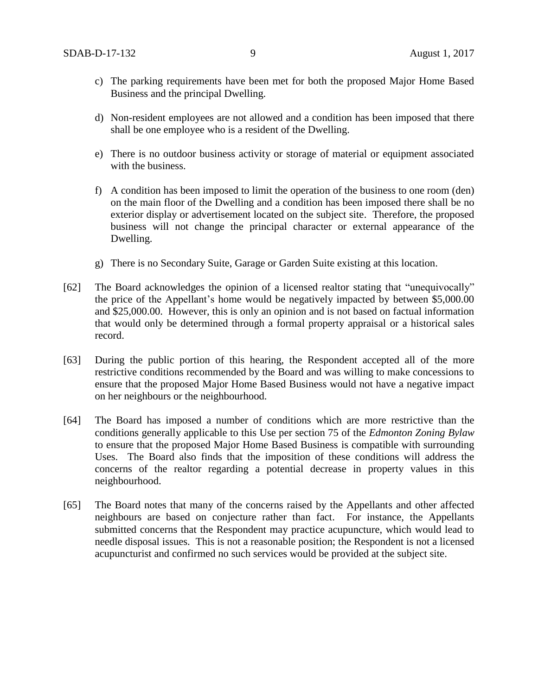- c) The parking requirements have been met for both the proposed Major Home Based Business and the principal Dwelling.
- d) Non-resident employees are not allowed and a condition has been imposed that there shall be one employee who is a resident of the Dwelling.
- e) There is no outdoor business activity or storage of material or equipment associated with the business.
- f) A condition has been imposed to limit the operation of the business to one room (den) on the main floor of the Dwelling and a condition has been imposed there shall be no exterior display or advertisement located on the subject site. Therefore, the proposed business will not change the principal character or external appearance of the Dwelling.
- g) There is no Secondary Suite, Garage or Garden Suite existing at this location.
- [62] The Board acknowledges the opinion of a licensed realtor stating that "unequivocally" the price of the Appellant's home would be negatively impacted by between \$5,000.00 and \$25,000.00. However, this is only an opinion and is not based on factual information that would only be determined through a formal property appraisal or a historical sales record.
- [63] During the public portion of this hearing, the Respondent accepted all of the more restrictive conditions recommended by the Board and was willing to make concessions to ensure that the proposed Major Home Based Business would not have a negative impact on her neighbours or the neighbourhood.
- [64] The Board has imposed a number of conditions which are more restrictive than the conditions generally applicable to this Use per section 75 of the *Edmonton Zoning Bylaw* to ensure that the proposed Major Home Based Business is compatible with surrounding Uses. The Board also finds that the imposition of these conditions will address the concerns of the realtor regarding a potential decrease in property values in this neighbourhood.
- [65] The Board notes that many of the concerns raised by the Appellants and other affected neighbours are based on conjecture rather than fact. For instance, the Appellants submitted concerns that the Respondent may practice acupuncture, which would lead to needle disposal issues. This is not a reasonable position; the Respondent is not a licensed acupuncturist and confirmed no such services would be provided at the subject site.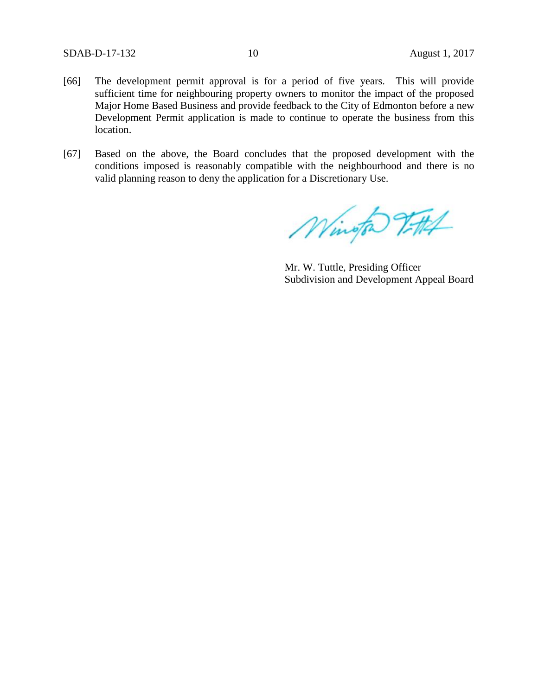- [66] The development permit approval is for a period of five years. This will provide sufficient time for neighbouring property owners to monitor the impact of the proposed Major Home Based Business and provide feedback to the City of Edmonton before a new Development Permit application is made to continue to operate the business from this location.
- [67] Based on the above, the Board concludes that the proposed development with the conditions imposed is reasonably compatible with the neighbourhood and there is no valid planning reason to deny the application for a Discretionary Use.

Wington Tittel

Mr. W. Tuttle, Presiding Officer Subdivision and Development Appeal Board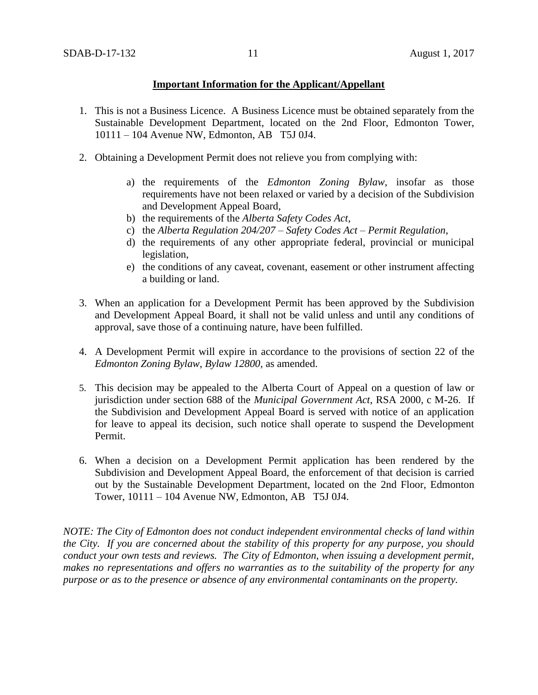## **Important Information for the Applicant/Appellant**

- 1. This is not a Business Licence. A Business Licence must be obtained separately from the Sustainable Development Department, located on the 2nd Floor, Edmonton Tower, 10111 – 104 Avenue NW, Edmonton, AB T5J 0J4.
- 2. Obtaining a Development Permit does not relieve you from complying with:
	- a) the requirements of the *Edmonton Zoning Bylaw*, insofar as those requirements have not been relaxed or varied by a decision of the Subdivision and Development Appeal Board,
	- b) the requirements of the *Alberta Safety Codes Act*,
	- c) the *Alberta Regulation 204/207 – Safety Codes Act – Permit Regulation*,
	- d) the requirements of any other appropriate federal, provincial or municipal legislation,
	- e) the conditions of any caveat, covenant, easement or other instrument affecting a building or land.
- 3. When an application for a Development Permit has been approved by the Subdivision and Development Appeal Board, it shall not be valid unless and until any conditions of approval, save those of a continuing nature, have been fulfilled.
- 4. A Development Permit will expire in accordance to the provisions of section 22 of the *Edmonton Zoning Bylaw, Bylaw 12800*, as amended.
- 5. This decision may be appealed to the Alberta Court of Appeal on a question of law or jurisdiction under section 688 of the *Municipal Government Act*, RSA 2000, c M-26. If the Subdivision and Development Appeal Board is served with notice of an application for leave to appeal its decision, such notice shall operate to suspend the Development Permit.
- 6. When a decision on a Development Permit application has been rendered by the Subdivision and Development Appeal Board, the enforcement of that decision is carried out by the Sustainable Development Department, located on the 2nd Floor, Edmonton Tower, 10111 – 104 Avenue NW, Edmonton, AB T5J 0J4.

*NOTE: The City of Edmonton does not conduct independent environmental checks of land within the City. If you are concerned about the stability of this property for any purpose, you should conduct your own tests and reviews. The City of Edmonton, when issuing a development permit, makes no representations and offers no warranties as to the suitability of the property for any purpose or as to the presence or absence of any environmental contaminants on the property.*